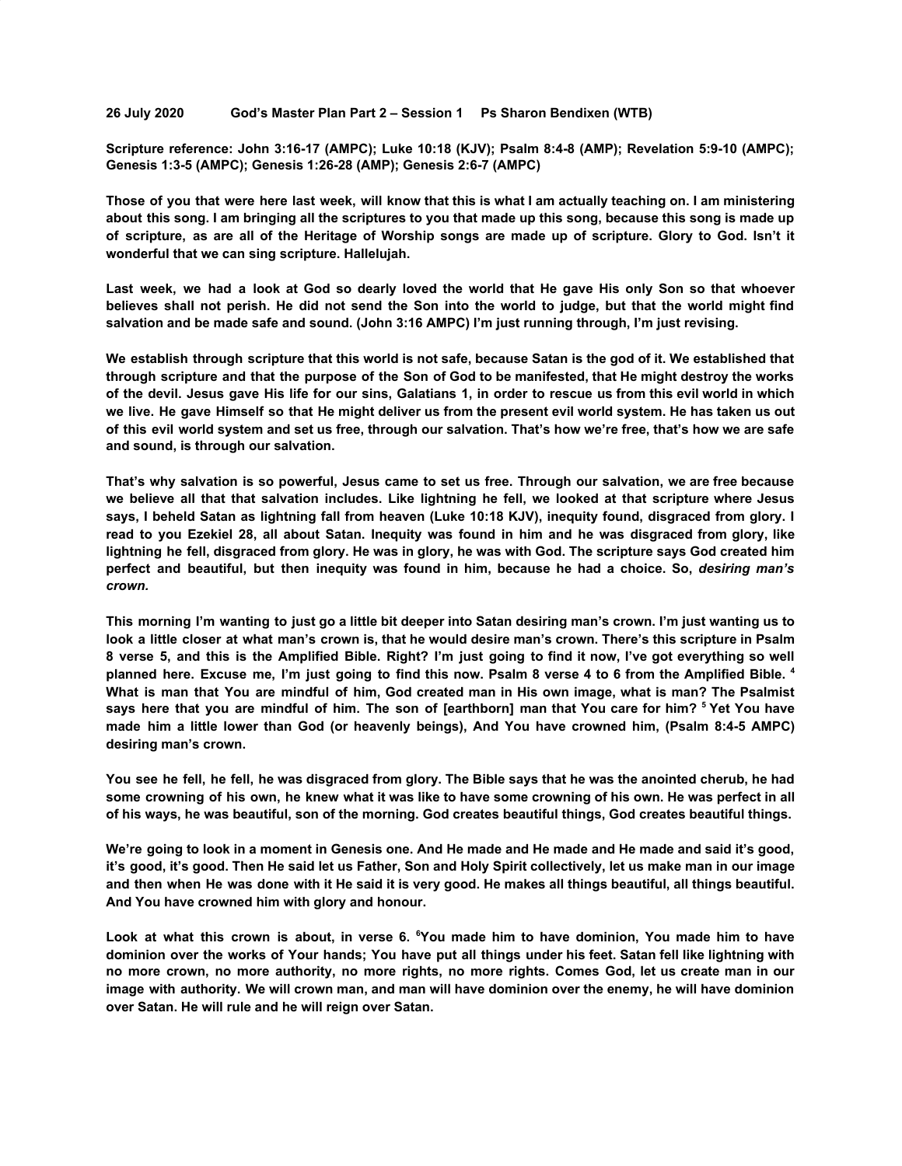**26 July 2020 God's Master Plan Part 2 – Session 1 Ps Sharon Bendixen (WTB)**

**Scripture reference: John 3:16-17 (AMPC); Luke 10:18 (KJV); Psalm 8:4-8 (AMP); Revelation 5:9-10 (AMPC); Genesis 1:3-5 (AMPC); Genesis 1:26-28 (AMP); Genesis 2:6-7 (AMPC)**

Those of you that were here last week, will know that this is what I am actually teaching on. I am ministering about this song. I am bringing all the scriptures to you that made up this song, because this song is made up of scripture, as are all of the Heritage of Worship songs are made up of scripture. Glory to God. Isn't it **wonderful that we can sing scripture. Hallelujah.**

Last week, we had a look at God so dearly loved the world that He gave His only Son so that whoever believes shall not perish. He did not send the Son into the world to judge, but that the world might find **salvation and be made safe and sound. (John 3:16 AMPC) I'm just running through, I'm just revising.**

We establish through scripture that this world is not safe, because Satan is the god of it. We established that through scripture and that the purpose of the Son of God to be manifested, that He might destroy the works of the devil. Jesus gave His life for our sins, Galatians 1, in order to rescue us from this evil world in which we live. He gave Himself so that He might deliver us from the present evil world system. He has taken us out of this evil world system and set us free, through our salvation. That's how we're free, that's how we are safe **and sound, is through our salvation.**

That's why salvation is so powerful, Jesus came to set us free. Through our salvation, we are free because we believe all that that salvation includes. Like lightning he fell, we looked at that scripture where Jesus says, I beheld Satan as lightning fall from heaven (Luke 10:18 KJV), inequity found, disgraced from glory. I read to you Ezekiel 28, all about Satan. Inequity was found in him and he was disgraced from glory, like lightning he fell, disgraced from glory. He was in glory, he was with God. The scripture says God created him perfect and beautiful, but then inequity was found in him, because he had a choice. So, desiring man's *crown.*

This morning I'm wanting to just go a little bit deeper into Satan desiring man's crown. I'm just wanting us to look a little closer at what man's crown is, that he would desire man's crown. There's this scripture in Psalm 8 verse 5, and this is the Amplified Bible. Right? I'm just going to find it now, I've got everything so well planned here. Excuse me, I'm just going to find this now. Psalm 8 verse 4 to 6 from the Amplified Bible. 4 What is man that You are mindful of him. God created man in His own image, what is man? The Psalmist says here that you are mindful of him. The son of [earthborn] man that You care for him? <sup>5</sup> Yet You have made him a little lower than God (or heavenly beings), And You have crowned him, (Psalm 8:4-5 AMPC) **desiring man's crown.**

You see he fell, he fell, he was disgraced from glory. The Bible says that he was the anointed cherub, he had some crowning of his own, he knew what it was like to have some crowning of his own. He was perfect in all **of his ways, he was beautiful, son of the morning. God creates beautiful things, God creates beautiful things.**

We're going to look in a moment in Genesis one. And He made and He made and He made and said it's good, it's good, it's good. Then He said let us Father, Son and Holy Spirit collectively, let us make man in our image and then when He was done with it He said it is very good. He makes all things beautiful, all things beautiful. **And You have crowned him with glory and honour.**

Look at what this crown is about, in verse 6. "You made him to have dominion, You made him to have dominion over the works of Your hands; You have put all things under his feet. Satan fell like lightning with no more crown, no more authority, no more rights, no more rights. Comes God, let us create man in our image with authority. We will crown man, and man will have dominion over the enemy, he will have dominion **over Satan. He will rule and he will reign over Satan.**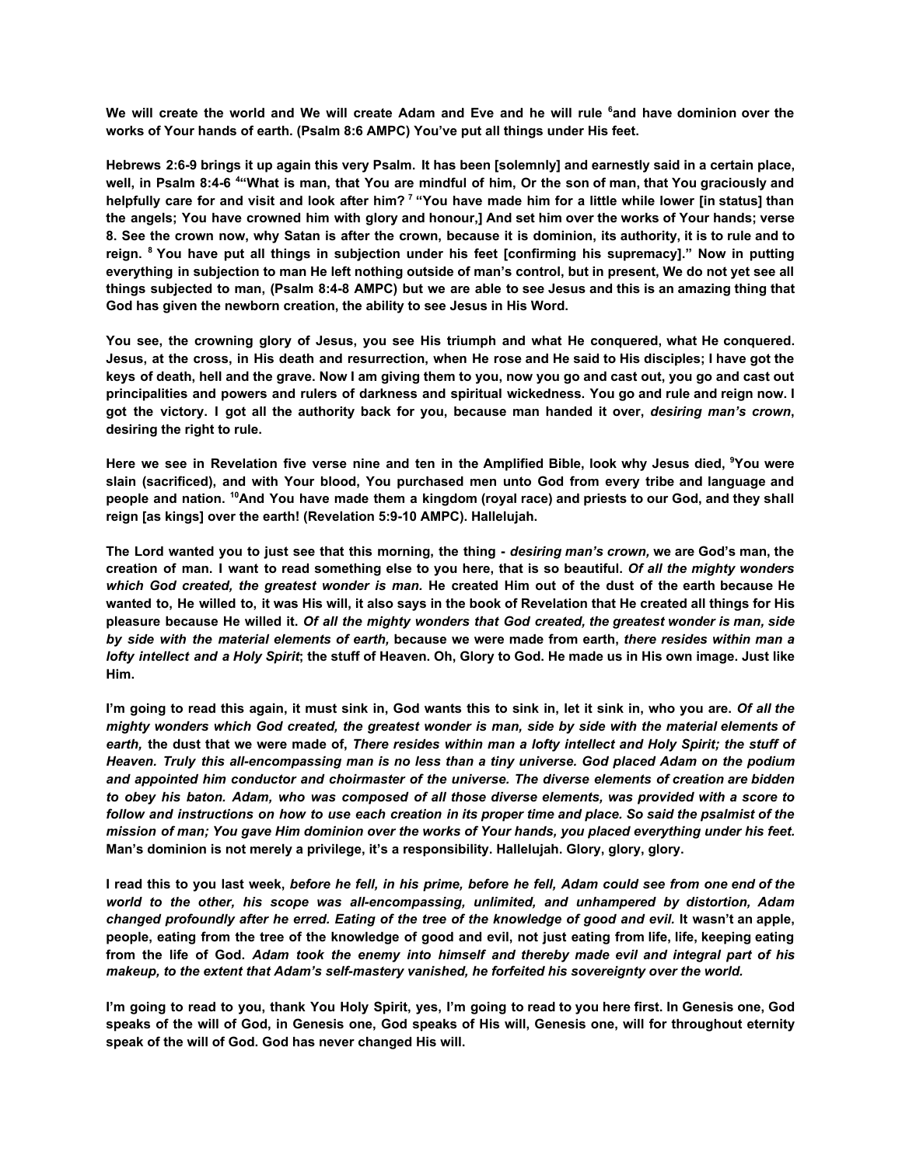We will create the world and We will create Adam and Eve and he will rule <sup>6</sup> and have dominion over the **works of Your hands of earth. (Psalm 8:6 AMPC) You've put all things under His feet.**

Hebrews 2:6-9 brings it up again this very Psalm. It has been [solemnly] and earnestly said in a certain place, well, in Psalm 8:4-6 <sup>4</sup> What is man, that You are mindful of him, Or the son of man, that You graciously and helpfully care for and visit and look after him?<sup>7</sup> "You have made him for a little while lower [in status] than the angels; You have crowned him with glory and honour,] And set him over the works of Your hands; verse 8. See the crown now, why Satan is after the crown, because it is dominion, its authority, it is to rule and to reign. <sup>8</sup> You have put all things in subjection under his feet [confirming his supremacy]." Now in putting everything in subjection to man He left nothing outside of man's control, but in present, We do not yet see all things subjected to man, (Psalm 8:4-8 AMPC) but we are able to see Jesus and this is an amazing thing that **God has given the newborn creation, the ability to see Jesus in His Word.**

You see, the crowning glory of Jesus, you see His triumph and what He conquered, what He conquered. Jesus, at the cross, in His death and resurrection, when He rose and He said to His disciples; I have got the keys of death, hell and the grave. Now I am giving them to you, now you go and cast out, you go and cast out principalities and powers and rulers of darkness and spiritual wickedness. You go and rule and reign now. I got the victory. I got all the authority back for you, because man handed it over, desiring man's crown, **desiring the right to rule.**

Here we see in Revelation five verse nine and ten in the Amplified Bible, look why Jesus died, <sup>9</sup>You were **slain (sacrificed), and with Your blood, You purchased men unto God from every tribe and language and** people and nation. <sup>10</sup>And You have made them a kingdom (royal race) and priests to our God, and they shall **reign [as kings] over the earth! (Revelation 5:9-10 AMPC). Hallelujah.**

The Lord wanted you to just see that this morning, the thing - desiring man's crown, we are God's man, the creation of man. I want to read something else to you here, that is so beautiful. Of all the mighty wonders which God created, the greatest wonder is man. He created Him out of the dust of the earth because He wanted to, He willed to, it was His will, it also says in the book of Revelation that He created all things for His pleasure because He willed it. Of all the mighty wonders that God created, the greatest wonder is man, side by side with the material elements of earth, because we were made from earth, there resides within man a lofty intellect and a Holy Spirit; the stuff of Heaven. Oh, Glory to God. He made us in His own image. Just like **Him.**

I'm going to read this again, it must sink in, God wants this to sink in, let it sink in, who you are. Of all the mighty wonders which God created, the greatest wonder is man, side by side with the material elements of earth, the dust that we were made of, There resides within man a lofty intellect and Holy Spirit; the stuff of Heaven. Truly this all-encompassing man is no less than a tiny universe. God placed Adam on the podium *and appointed him conductor and choirmaster of the universe. The diverse elements of creation are bidden* to obey his baton. Adam, who was composed of all those diverse elements, was provided with a score to follow and instructions on how to use each creation in its proper time and place. So said the psalmist of the mission of man; You gave Him dominion over the works of Your hands, you placed everything under his feet. **Man's dominion is not merely a privilege, it's a responsibility. Hallelujah. Glory, glory, glory.**

I read this to you last week, before he fell, in his prime, before he fell, Adam could see from one end of the *world to the other, his scope was all-encompassing, unlimited, and unhampered by distortion, Adam* changed profoundly after he erred. Eating of the tree of the knowledge of good and evil. It wasn't an apple, people, eating from the tree of the knowledge of good and evil, not just eating from life, life, keeping eating from the life of God. Adam took the enemy into himself and thereby made evil and integral part of his *makeup, to the extent that Adam's self-mastery vanished, he forfeited his sovereignty over the world.*

I'm going to read to you, thank You Holy Spirit, yes, I'm going to read to you here first. In Genesis one, God speaks of the will of God, in Genesis one, God speaks of His will, Genesis one, will for throughout eternity **speak of the will of God. God has never changed His will.**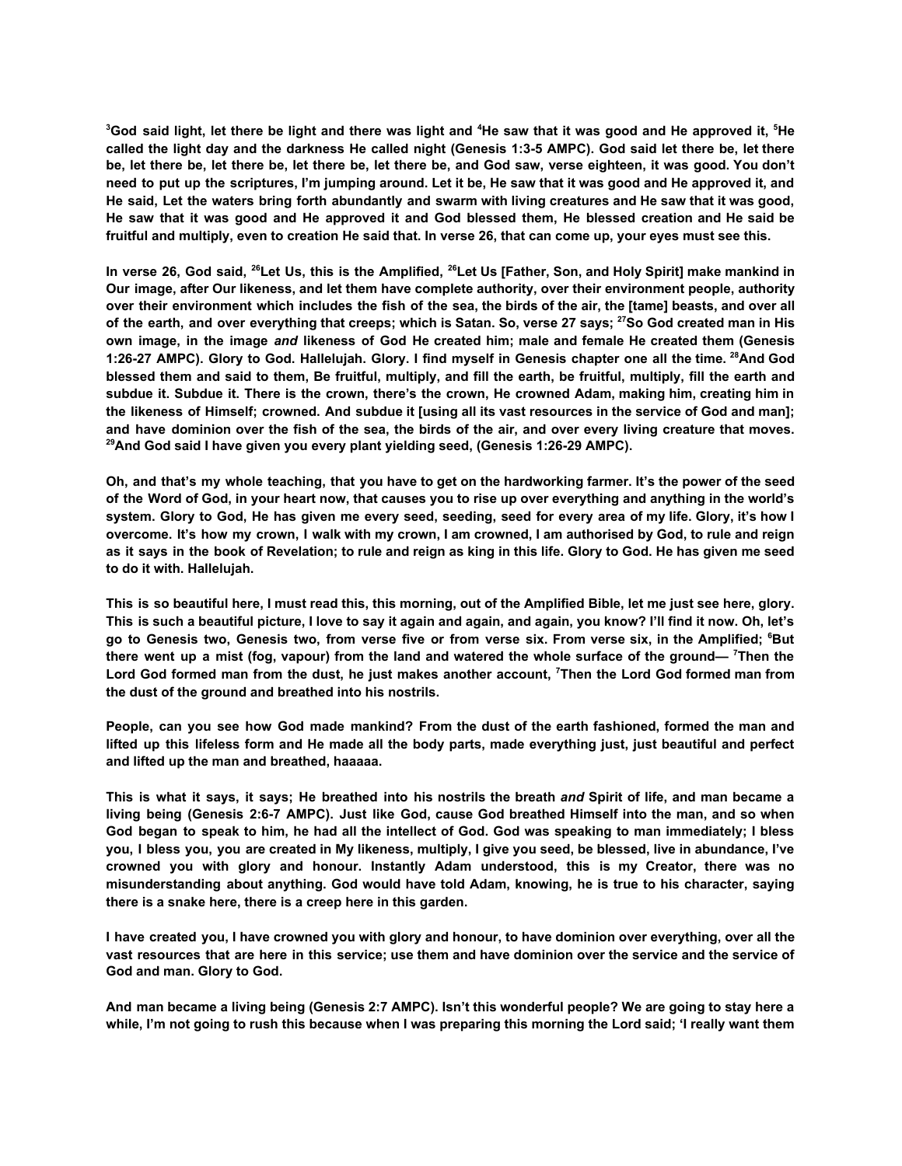<sup>3</sup>God said light, let there be light and there was light and <sup>4</sup>He saw that it was good and He approved it, <sup>5</sup>He called the light day and the darkness He called night (Genesis 1:3-5 AMPC). God said let there be, let there be, let there be, let there be, let there be, let there be, and God saw, verse eighteen, it was good. You don't need to put up the scriptures, I'm jumping around. Let it be, He saw that it was good and He approved it, and He said, Let the waters bring forth abundantly and swarm with living creatures and He saw that it was good, He saw that it was good and He approved it and God blessed them, He blessed creation and He said be **fruitful and multiply, even to creation He said that. In verse 26, that can come up, your eyes must see this.**

In verse 26, God said, <sup>26</sup>Let Us, this is the Amplified, <sup>26</sup>Let Us [Father, Son, and Holy Spirit] make mankind in **Our image, after Our likeness, and let them have complete authority, over their environment people, authority** over their environment which includes the fish of the sea, the birds of the air, the [tame] beasts, and over all of the earth, and over everything that creeps; which is Satan. So, verse 27 says; <sup>27</sup>So God created man in His own image, in the image and likeness of God He created him; male and female He created them (Genesis 1:26-27 AMPC). Glory to God. Hallelujah. Glory. I find myself in Genesis chapter one all the time. 28And God blessed them and said to them, Be fruitful, multiply, and fill the earth, be fruitful, multiply, fill the earth and subdue it. Subdue it. There is the crown, there's the crown, He crowned Adam, making him, creating him in the likeness of Himself; crowned. And subdue it [using all its vast resources in the service of God and man]; and have dominion over the fish of the sea, the birds of the air, and over every living creature that moves. **<sup>29</sup>And God said I have given you every plant yielding seed, (Genesis 1:26-29 AMPC).**

Oh, and that's my whole teaching, that you have to get on the hardworking farmer. It's the power of the seed of the Word of God, in your heart now, that causes you to rise up over everything and anything in the world's system. Glory to God, He has given me every seed, seeding, seed for every area of my life. Glory, it's how I overcome. It's how my crown, I walk with my crown, I am crowned, I am authorised by God, to rule and reign as it says in the book of Revelation; to rule and reign as king in this life. Glory to God. He has given me seed **to do it with. Hallelujah.**

This is so beautiful here, I must read this, this morning, out of the Amplified Bible, let me just see here, glory. This is such a beautiful picture, I love to say it again and again, and again, you know? I'll find it now. Oh, let's go to Genesis two, Genesis two, from verse five or from verse six. From verse six, in the Amplified; <sup>6</sup>But there went up a mist (fog, vapour) from the land and watered the whole surface of the ground— <sup>7</sup>Then the Lord God formed man from the dust, he just makes another account, <sup>7</sup>Then the Lord God formed man from **the dust of the ground and breathed into his nostrils.**

People, can you see how God made mankind? From the dust of the earth fashioned, formed the man and lifted up this lifeless form and He made all the body parts, made everything just, just beautiful and perfect **and lifted up the man and breathed, haaaaa.**

This is what it savs, it savs: He breathed into his nostrils the breath and Spirit of life, and man became a living being (Genesis 2:6-7 AMPC). Just like God, cause God breathed Himself into the man, and so when God began to speak to him, he had all the intellect of God. God was speaking to man immediately; I bless you, I bless you, you are created in My likeness, multiply, I give you seed, be blessed, live in abundance, I've **crowned you with glory and honour. Instantly Adam understood, this is my Creator, there was no misunderstanding about anything. God would have told Adam, knowing, he is true to his character, saying there is a snake here, there is a creep here in this garden.**

I have created you, I have crowned you with glory and honour, to have dominion over everything, over all the vast resources that are here in this service; use them and have dominion over the service and the service of **God and man. Glory to God.**

And man became a living being (Genesis 2:7 AMPC). Isn't this wonderful people? We are going to stay here a while, I'm not going to rush this because when I was preparing this morning the Lord said; 'I really want them